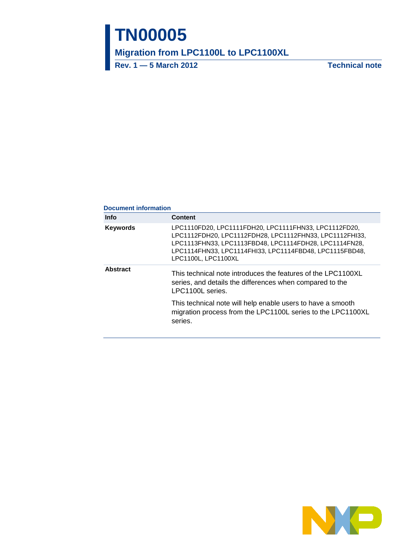# **TN00005**

**Migration from LPC1100L to LPC1100XL**

**Rev. 1 — 5 March 2012 Technical note**

#### **Document information**

| <b>Info</b>     | <b>Content</b>                                                                                                                                                                                                                                               |
|-----------------|--------------------------------------------------------------------------------------------------------------------------------------------------------------------------------------------------------------------------------------------------------------|
| <b>Keywords</b> | LPC1110FD20, LPC1111FDH20, LPC1111FHN33, LPC1112FD20,<br>LPC1112FDH20, LPC1112FDH28, LPC1112FHN33, LPC1112FHI33,<br>LPC1113FHN33, LPC1113FBD48, LPC1114FDH28, LPC1114FN28,<br>LPC1114FHN33, LPC1114FHI33, LPC1114FBD48, LPC1115FBD48,<br>LPC1100L, LPC1100XL |
| <b>Abstract</b> | This technical note introduces the features of the LPC1100XL<br>series, and details the differences when compared to the<br>LPC1100L series.                                                                                                                 |
|                 | This technical note will help enable users to have a smooth<br>migration process from the LPC1100L series to the LPC1100XL<br>series.                                                                                                                        |

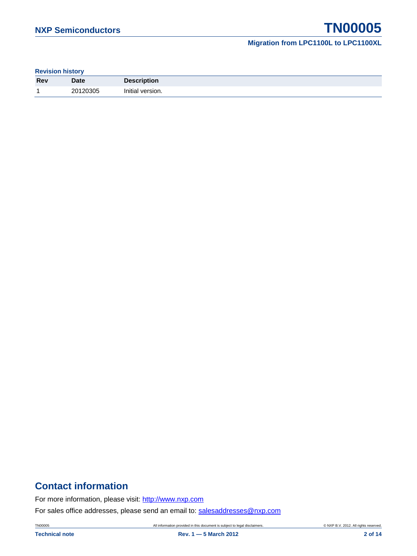#### **Revision history**

| <b>Rev</b> | <b>Date</b> | Description<br>Deadl |
|------------|-------------|----------------------|
| и          | 20120305    | version.<br>Initial  |

## **Contact information**

For more information, please visit: [http://www.nxp.com](http://www.nxp.com/)

For sales office addresses, please send an email to: [salesaddresses@nxp.com](mailto:salesaddresses@nxp.com)

TN00005 All information provided in this document is subject to legal disclaimers. © NXP B.V. 2012. All rights reserved.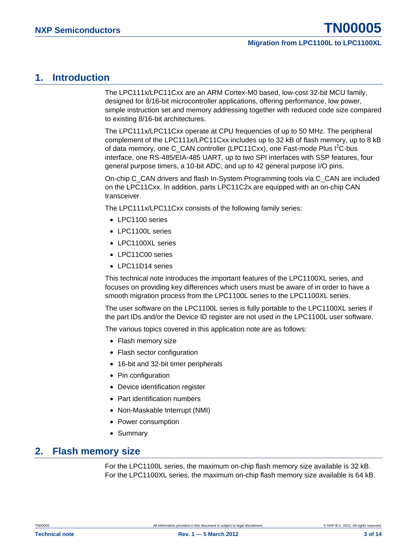## <span id="page-2-0"></span>**1. Introduction**

The LPC111x/LPC11Cxx are an ARM Cortex-M0 based, low-cost 32-bit MCU family, designed for 8/16-bit microcontroller applications, offering performance, low power, simple instruction set and memory addressing together with reduced code size compared to existing 8/16-bit architectures.

The LPC111x/LPC11Cxx operate at CPU frequencies of up to 50 MHz. The peripheral complement of the LPC111x/LPC11Cxx includes up to 32 kB of flash memory, up to 8 kB of data memory, one C\_CAN controller (LPC11Cxx), one Fast-mode Plus  $l^2C$ -bus interface, one RS-485/EIA-485 UART, up to two SPI interfaces with SSP features, four general purpose timers, a 10-bit ADC, and up to 42 general purpose I/O pins.

On-chip C\_CAN drivers and flash In-System Programming tools via C\_CAN are included on the LPC11Cxx. In addition, parts LPC11C2x are equipped with an on-chip CAN transceiver.

The LPC111x/LPC11Cxx consists of the following family series:

- LPC1100 series
- LPC1100L series
- LPC1100XL series
- LPC11C00 series
- LPC11D14 series

This technical note introduces the important features of the LPC1100XL series, and focuses on providing key differences which users must be aware of in order to have a smooth migration process from the LPC1100L series to the LPC1100XL series.

The user software on the LPC1100L series is fully portable to the LPC1100XL series if the part IDs and/or the Device ID register are not used in the LPC1100L user software.

The various topics covered in this application note are as follows:

- Flash memory size
- Flash sector configuration
- 16-bit and 32-bit timer peripherals
- Pin configuration
- Device identification register
- Part identification numbers
- Non-Maskable Interrupt (NMI)
- Power consumption
- Summary

## <span id="page-2-1"></span>**2. Flash memory size**

For the LPC1100L series, the maximum on-chip flash memory size available is 32 kB. For the LPC1100XL series, the maximum on-chip flash memory size available is 64 kB.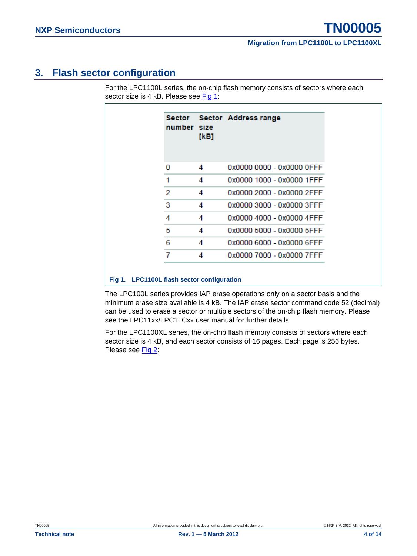## <span id="page-3-1"></span>**3. Flash sector configuration**

For the LPC1100L series, the on-chip flash memory consists of sectors where each sector size is 4 kB. Please see [Fig 1:](#page-3-0)

| Sector<br>number size | [KB] | Sector Address range      |
|-----------------------|------|---------------------------|
| 0                     | 4    | 0x0000 0000 - 0x0000 OFFF |
| 1                     | 4    | 0x0000 1000 - 0x0000 1FFF |
| 2                     | 4    | 0x0000 2000 - 0x0000 2FFF |
| 3                     | 4    | 0x0000 3000 - 0x0000 3FFF |
| 4                     | 4    | 0x0000 4000 - 0x0000 4FFF |
| 5                     | 4    | 0x0000 5000 - 0x0000 5FFF |
| 6                     | 4    | 0x0000 6000 - 0x0000 6FFF |
|                       | 4    | 0x0000 7000 - 0x0000 7FFF |

#### <span id="page-3-0"></span>**Fig 1. LPC1100L flash sector configuration**

The LPC100L series provides IAP erase operations only on a sector basis and the minimum erase size available is 4 kB. The IAP erase sector command code 52 (decimal) can be used to erase a sector or multiple sectors of the on-chip flash memory. Please see the LPC11xx/LPC11Cxx user manual for further details.

For the LPC1100XL series, the on-chip flash memory consists of sectors where each sector size is 4 kB, and each sector consists of 16 pages. Each page is 256 bytes. Please see [Fig 2:](#page-4-0)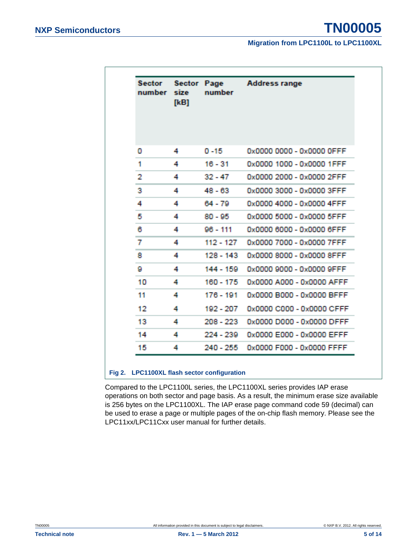| Sector<br>number | <b>Sector</b><br>size<br>[KB] | Page<br>number | <b>Address range</b>      |
|------------------|-------------------------------|----------------|---------------------------|
|                  |                               |                |                           |
| o                | 4                             | $0 - 15$       | 0x0000 0000 - 0x0000 0FFF |
| 1                | 4                             | $16 - 31$      | 0x0000 1000 - 0x0000 1FFF |
| 2                | 4                             | $32 - 47$      | 0x0000 2000 - 0x0000 2FFF |
| R.               | 4                             | $48 - 63$      | 0x0000 3000 - 0x0000 3FFF |
| 4                | 4                             | 64 - 79        | 0x0000 4000 - 0x0000 4FFF |
| 5                | 4                             | $80 - 95$      | 0x0000 5000 - 0x0000 5FFF |
| 6                | 4                             | $96 - 111$     | 0x0000 6000 - 0x0000 6FFF |
| 7                | 4                             | 112 - 127      | 0x0000 7000 - 0x0000 7FFF |
| я                | 4                             | 128 - 143      | 0x0000 8000 - 0x0000 8FFF |
| g                | 4                             | $144 - 159$    | 0x0000 9000 - 0x0000 9FFF |
| 10               | 4                             | 160 - 175      | 0x0000 A000 - 0x0000 AFFF |
| 11               | 4                             | 176 - 191      | 0x0000 B000 - 0x0000 BEEF |
| 12               | A                             | 192 - 207      | 0x0000 C000 - 0x0000 CEEE |
| 13               | 4                             | $208 - 223$    | 0x0000 D000 - 0x0000 DEEE |
| 14               | 4                             | 224 - 239      | 0x0000 E000 - 0x0000 EFFF |
| 15               | 4                             | $240 - 255$    | 0x0000 F000 - 0x0000 FFFF |

#### <span id="page-4-0"></span>**Fig 2. LPC1100XL flash sector configuration**

Compared to the LPC1100L series, the LPC1100XL series provides IAP erase operations on both sector and page basis. As a result, the minimum erase size available is 256 bytes on the LPC1100XL. The IAP erase page command code 59 (decimal) can be used to erase a page or multiple pages of the on-chip flash memory. Please see the LPC11xx/LPC11Cxx user manual for further details.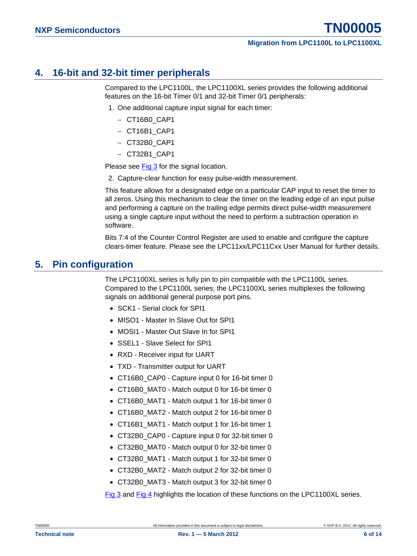## <span id="page-5-0"></span>**4. 16-bit and 32-bit timer peripherals**

Compared to the LPC1100L, the LPC1100XL series provides the following additional features on the 16-bit Timer 0/1 and 32-bit Timer 0/1 peripherals:

- 1. One additional capture input signal for each timer:
	- − CT16B0\_CAP1
	- − CT16B1\_CAP1
	- − CT32B0\_CAP1
	- − CT32B1\_CAP1

Please see [Fig 3](#page-6-0) for the signal location.

2. Capture-clear function for easy pulse-width measurement.

This feature allows for a designated edge on a particular CAP input to reset the timer to all zeros. Using this mechanism to clear the timer on the leading edge of an input pulse and performing a capture on the trailing edge permits direct pulse-width measurement using a single capture input without the need to perform a subtraction operation in software.

Bits 7:4 of the Counter Control Register are used to enable and configure the capture clears-timer feature. Please see the LPC11xx/LPC11Cxx User Manual for further details.

## <span id="page-5-1"></span>**5. Pin configuration**

The LPC1100XL series is fully pin to pin compatible with the LPC1100L series. Compared to the LPC1100L series, the LPC1100XL series multiplexes the following signals on additional general purpose port pins.

- SCK1 Serial clock for SPI1
- MISO1 Master In Slave Out for SPI1
- MOSI1 Master Out Slave In for SPI1
- SSEL1 Slave Select for SPI1
- RXD Receiver input for UART
- TXD Transmitter output for UART
- CT16B0 CAP0 Capture input 0 for 16-bit timer 0
- CT16B0 MAT0 Match output 0 for 16-bit timer 0
- CT16B0 MAT1 Match output 1 for 16-bit timer 0
- CT16B0 MAT2 Match output 2 for 16-bit timer 0
- CT16B1 MAT1 Match output 1 for 16-bit timer 1
- CT32B0 CAP0 Capture input 0 for 32-bit timer 0
- CT32B0 MAT0 Match output 0 for 32-bit timer 0
- CT32B0 MAT1 Match output 1 for 32-bit timer 0
- CT32B0 MAT2 Match output 2 for 32-bit timer 0
- CT32B0 MAT3 Match output 3 for 32-bit timer 0

[Fig 3](#page-6-0) and [Fig 4](#page-7-0) highlights the location of these functions on the LPC1100XL series.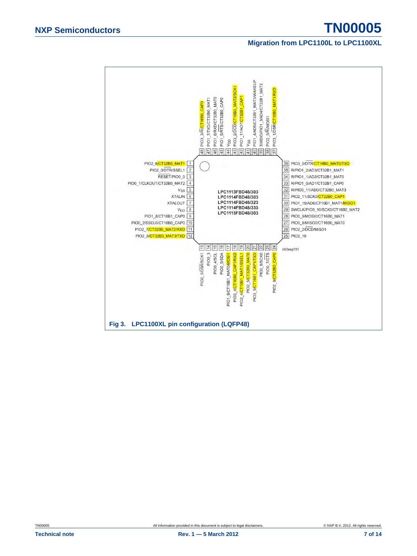<span id="page-6-0"></span>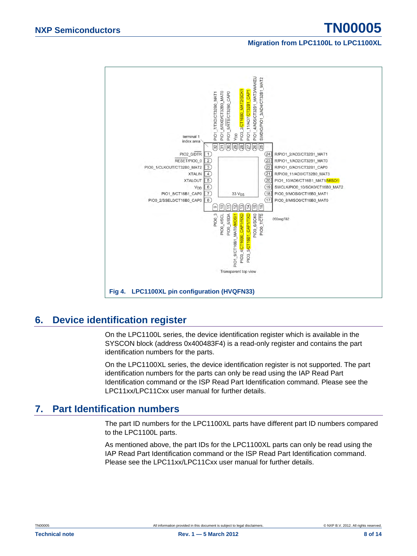

## <span id="page-7-1"></span>**6. Device identification register**

<span id="page-7-0"></span>On the LPC1100L series, the device identification register which is available in the SYSCON block (address 0x400483F4) is a read-only register and contains the part identification numbers for the parts.

On the LPC1100XL series, the device identification register is not supported. The part identification numbers for the parts can only be read using the IAP Read Part Identification command or the ISP Read Part Identification command. Please see the LPC11xx/LPC11Cxx user manual for further details.

## <span id="page-7-2"></span>**7. Part Identification numbers**

The part ID numbers for the LPC1100XL parts have different part ID numbers compared to the LPC1100L parts.

As mentioned above, the part IDs for the LPC1100XL parts can only be read using the IAP Read Part Identification command or the ISP Read Part Identification command. Please see the LPC11xx/LPC11Cxx user manual for further details.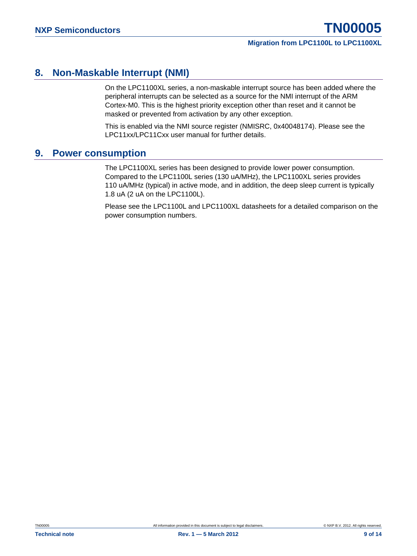## <span id="page-8-0"></span>**8. Non-Maskable Interrupt (NMI)**

On the LPC1100XL series, a non-maskable interrupt source has been added where the peripheral interrupts can be selected as a source for the NMI interrupt of the ARM Cortex-M0. This is the highest priority exception other than reset and it cannot be masked or prevented from activation by any other exception.

This is enabled via the NMI source register (NMISRC, 0x40048174). Please see the LPC11xx/LPC11Cxx user manual for further details.

## <span id="page-8-1"></span>**9. Power consumption**

The LPC1100XL series has been designed to provide lower power consumption. Compared to the LPC1100L series (130 uA/MHz), the LPC1100XL series provides 110 uA/MHz (typical) in active mode, and in addition, the deep sleep current is typically 1.8 uA (2 uA on the LPC1100L).

Please see the LPC1100L and LPC1100XL datasheets for a detailed comparison on the power consumption numbers.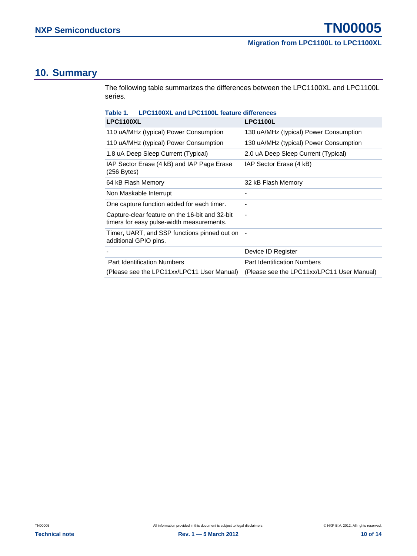## <span id="page-9-1"></span>**10. Summary**

The following table summarizes the differences between the LPC1100XL and LPC1100L series.

<span id="page-9-0"></span>

| <b>LPC1100XL and LPC1100L feature differences</b><br>Table 1.                               |                                            |  |  |
|---------------------------------------------------------------------------------------------|--------------------------------------------|--|--|
| <b>LPC1100XL</b>                                                                            | <b>LPC1100L</b>                            |  |  |
| 110 uA/MHz (typical) Power Consumption                                                      | 130 uA/MHz (typical) Power Consumption     |  |  |
| 110 uA/MHz (typical) Power Consumption                                                      | 130 uA/MHz (typical) Power Consumption     |  |  |
| 1.8 uA Deep Sleep Current (Typical)                                                         | 2.0 uA Deep Sleep Current (Typical)        |  |  |
| IAP Sector Erase (4 kB) and IAP Page Erase<br>(256 Bytes)                                   | IAP Sector Erase (4 kB)                    |  |  |
| 64 kB Flash Memory                                                                          | 32 kB Flash Memory                         |  |  |
| Non Maskable Interrupt                                                                      |                                            |  |  |
| One capture function added for each timer.                                                  |                                            |  |  |
| Capture-clear feature on the 16-bit and 32-bit<br>timers for easy pulse-width measurements. | ٠                                          |  |  |
| Timer, UART, and SSP functions pinned out on -<br>additional GPIO pins.                     |                                            |  |  |
|                                                                                             | Device ID Register                         |  |  |
| <b>Part Identification Numbers</b>                                                          | <b>Part Identification Numbers</b>         |  |  |
| (Please see the LPC11xx/LPC11 User Manual)                                                  | (Please see the LPC11xx/LPC11 User Manual) |  |  |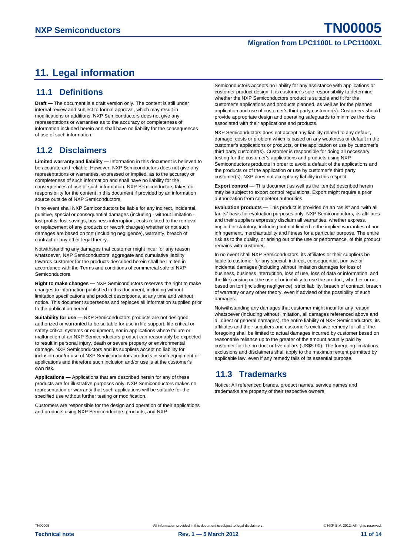## <span id="page-10-0"></span>**11. Legal information**

#### <span id="page-10-1"></span>**11.1 Definitions**

**Draft —** The document is a draft version only. The content is still under internal review and subject to formal approval, which may result in modifications or additions. NXP Semiconductors does not give any representations or warranties as to the accuracy or completeness of information included herein and shall have no liability for the consequences of use of such information.

## <span id="page-10-2"></span>**11.2 Disclaimers**

**Limited warranty and liability —** Information in this document is believed to be accurate and reliable. However, NXP Semiconductors does not give any representations or warranties, expressed or implied, as to the accuracy or completeness of such information and shall have no liability for the consequences of use of such information. NXP Semiconductors takes no responsibility for the content in this document if provided by an information source outside of NXP Semiconductors.

In no event shall NXP Semiconductors be liable for any indirect, incidental, punitive, special or consequential damages (including - without limitation lost profits, lost savings, business interruption, costs related to the removal or replacement of any products or rework charges) whether or not such damages are based on tort (including negligence), warranty, breach of contract or any other legal theory.

Notwithstanding any damages that customer might incur for any reason whatsoever, NXP Semiconductors' aggregate and cumulative liability towards customer for the products described herein shall be limited in accordance with the Terms and conditions of commercial sale of NXP **Semiconductors** 

**Right to make changes —** NXP Semiconductors reserves the right to make changes to information published in this document, including without limitation specifications and product descriptions, at any time and without notice. This document supersedes and replaces all information supplied prior to the publication hereof.

**Suitability for use —** NXP Semiconductors products are not designed, authorized or warranted to be suitable for use in life support, life-critical or safety-critical systems or equipment, nor in applications where failure or malfunction of an NXP Semiconductors product can reasonably be expected to result in personal injury, death or severe property or environmental damage. NXP Semiconductors and its suppliers accept no liability for inclusion and/or use of NXP Semiconductors products in such equipment or applications and therefore such inclusion and/or use is at the customer's own risk.

**Applications —** Applications that are described herein for any of these products are for illustrative purposes only. NXP Semiconductors makes no representation or warranty that such applications will be suitable for the specified use without further testing or modification.

Customers are responsible for the design and operation of their applications and products using NXP Semiconductors products, and NXP

Semiconductors accepts no liability for any assistance with applications or customer product design. It is customer's sole responsibility to determine whether the NXP Semiconductors product is suitable and fit for the customer's applications and products planned, as well as for the planned application and use of customer's third party customer(s). Customers should provide appropriate design and operating safeguards to minimize the risks associated with their applications and products.

NXP Semiconductors does not accept any liability related to any default, damage, costs or problem which is based on any weakness or default in the customer's applications or products, or the application or use by customer's third party customer(s). Customer is responsible for doing all necessary testing for the customer's applications and products using NXP Semiconductors products in order to avoid a default of the applications and the products or of the application or use by customer's third party customer(s). NXP does not accept any liability in this respect.

**Export control —** This document as well as the item(s) described herein may be subject to export control regulations. Export might require a prior authorization from competent authorities.

**Evaluation products —** This product is provided on an "as is" and "with all faults" basis for evaluation purposes only. NXP Semiconductors, its affiliates and their suppliers expressly disclaim all warranties, whether express, implied or statutory, including but not limited to the implied warranties of noninfringement, merchantability and fitness for a particular purpose. The entire risk as to the quality, or arising out of the use or performance, of this product remains with customer.

In no event shall NXP Semiconductors, its affiliates or their suppliers be liable to customer for any special, indirect, consequential, punitive or incidental damages (including without limitation damages for loss of business, business interruption, loss of use, loss of data or information, and the like) arising out the use of or inability to use the product, whether or not based on tort (including negligence), strict liability, breach of contract, breach of warranty or any other theory, even if advised of the possibility of such damages.

Notwithstanding any damages that customer might incur for any reason whatsoever (including without limitation, all damages referenced above and all direct or general damages), the entire liability of NXP Semiconductors, its affiliates and their suppliers and customer's exclusive remedy for all of the foregoing shall be limited to actual damages incurred by customer based on reasonable reliance up to the greater of the amount actually paid by customer for the product or five dollars (US\$5.00). The foregoing limitations, exclusions and disclaimers shall apply to the maximum extent permitted by applicable law, even if any remedy fails of its essential purpose.

## <span id="page-10-3"></span>**11.3 Trademarks**

Notice: All referenced brands, product names, service names and trademarks are property of their respective owners.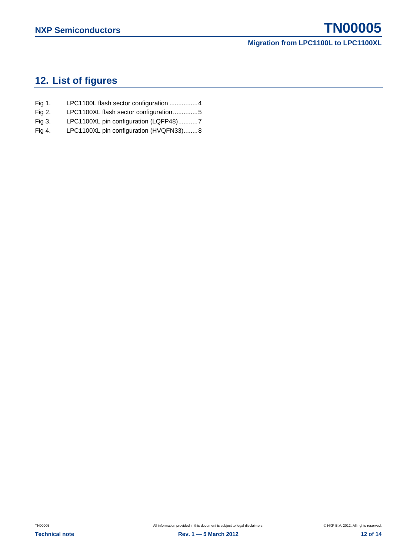## <span id="page-11-0"></span>**12. List of figures**

- Fig 1. [LPC1100L flash sector configuration](#page-3-0) ................ 4
- Fig 2. [LPC1100XL flash sector configuration.............. 5](#page-4-0)
- Fig 3. [LPC1100XL pin configuration \(LQFP48\)........... 7](#page-6-0)
- Fig 4. [LPC1100XL pin configuration \(HVQFN33\)........ 8](#page-7-0)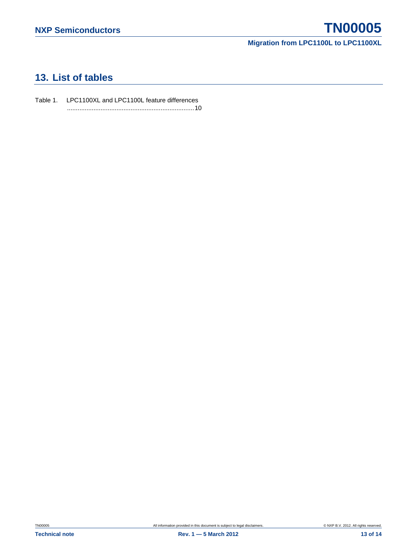## <span id="page-12-0"></span>**13. List of tables**

Table 1. [LPC1100XL and LPC1100L feature differences](#page-9-0) [........................................................................10](#page-9-0)